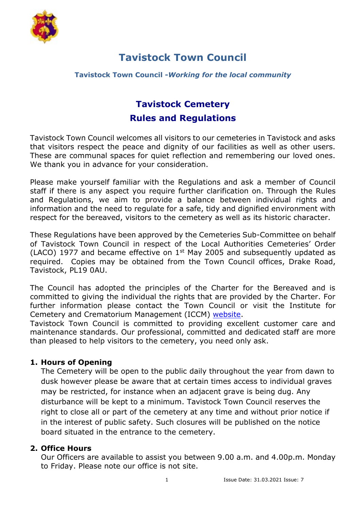

### **Tavistock Town Council -***Working for the local community*

# **Tavistock Cemetery Rules and Regulations**

Tavistock Town Council welcomes all visitors to our cemeteries in Tavistock and asks that visitors respect the peace and dignity of our facilities as well as other users. These are communal spaces for quiet reflection and remembering our loved ones. We thank you in advance for your consideration.

Please make yourself familiar with the Regulations and ask a member of Council staff if there is any aspect you require further clarification on. Through the Rules and Regulations, we aim to provide a balance between individual rights and information and the need to regulate for a safe, tidy and dignified environment with respect for the bereaved, visitors to the cemetery as well as its historic character.

These Regulations have been approved by the Cemeteries Sub-Committee on behalf of Tavistock Town Council in respect of the Local Authorities Cemeteries' Order (LACO) 1977 and became effective on  $1<sup>st</sup>$  May 2005 and subsequently updated as required. Copies may be obtained from the Town Council offices, Drake Road, Tavistock, PL19 0AU.

The Council has adopted the principles of the Charter for the Bereaved and is committed to giving the individual the rights that are provided by the Charter. For further information please contact the Town Council or visit the Institute for Cemetery and Crematorium Management (ICCM) [website.](http://www.iccm-uk.com/)

Tavistock Town Council is committed to providing excellent customer care and maintenance standards. Our professional, committed and dedicated staff are more than pleased to help visitors to the cemetery, you need only ask.

# **1. Hours of Opening**

The Cemetery will be open to the public daily throughout the year from dawn to dusk however please be aware that at certain times access to individual graves may be restricted, for instance when an adjacent grave is being dug. Any disturbance will be kept to a minimum. Tavistock Town Council reserves the right to close all or part of the cemetery at any time and without prior notice if in the interest of public safety. Such closures will be published on the notice board situated in the entrance to the cemetery.

## **2. Office Hours**

Our Officers are available to assist you between 9.00 a.m. and 4.00p.m. Monday to Friday. Please note our office is not site.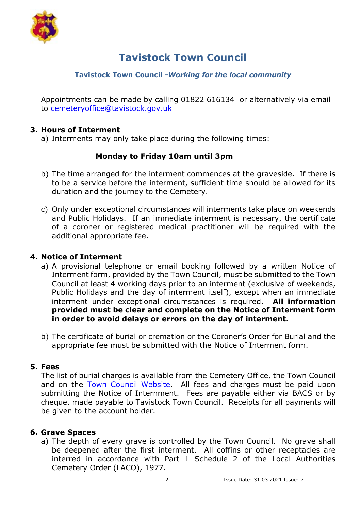

### **Tavistock Town Council -***Working for the local community*

Appointments can be made by calling 01822 616134 or alternatively via email to [cemeteryoffice@tavistock.gov.uk](mailto:cemeteryoffice@tavistock.gov.uk)

### **3. Hours of Interment**

a) Interments may only take place during the following times:

## **Monday to Friday 10am until 3pm**

- b) The time arranged for the interment commences at the graveside. If there is to be a service before the interment, sufficient time should be allowed for its duration and the journey to the Cemetery.
- c) Only under exceptional circumstances will interments take place on weekends and Public Holidays. If an immediate interment is necessary, the certificate of a coroner or registered medical practitioner will be required with the additional appropriate fee.

#### **4. Notice of Interment**

- a) A provisional telephone or email booking followed by a written Notice of Interment form, provided by the Town Council, must be submitted to the Town Council at least 4 working days prior to an interment (exclusive of weekends, Public Holidays and the day of interment itself), except when an immediate interment under exceptional circumstances is required. **All information provided must be clear and complete on the Notice of Interment form in order to avoid delays or errors on the day of interment.**
- b) The certificate of burial or cremation or the Coroner's Order for Burial and the appropriate fee must be submitted with the Notice of Interment form.

#### **5. Fees**

The list of burial charges is available from the Cemetery Office, the Town Council and on the [Town Council Website.](https://www.tavistock.gov.uk/council-services/cemetery) All fees and charges must be paid upon submitting the Notice of Internment. Fees are payable either via BACS or by cheque, made payable to Tavistock Town Council. Receipts for all payments will be given to the account holder.

#### **6. Grave Spaces**

a) The depth of every grave is controlled by the Town Council. No grave shall be deepened after the first interment. All coffins or other receptacles are interred in accordance with Part 1 Schedule 2 of the Local Authorities Cemetery Order (LACO), 1977.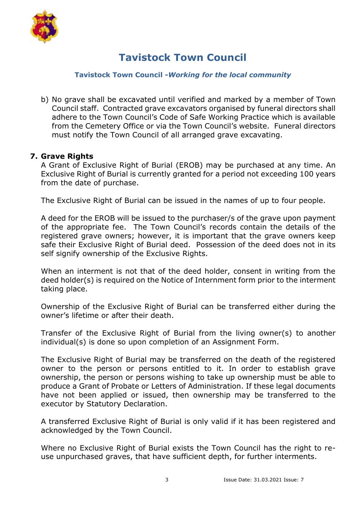

#### **Tavistock Town Council -***Working for the local community*

b) No grave shall be excavated until verified and marked by a member of Town Council staff. Contracted grave excavators organised by funeral directors shall adhere to the Town Council's Code of Safe Working Practice which is available from the Cemetery Office or via the Town Council's website. Funeral directors must notify the Town Council of all arranged grave excavating.

### **7. Grave Rights**

A Grant of Exclusive Right of Burial (EROB) may be purchased at any time. An Exclusive Right of Burial is currently granted for a period not exceeding 100 years from the date of purchase.

The Exclusive Right of Burial can be issued in the names of up to four people.

A deed for the EROB will be issued to the purchaser/s of the grave upon payment of the appropriate fee. The Town Council's records contain the details of the registered grave owners; however, it is important that the grave owners keep safe their Exclusive Right of Burial deed. Possession of the deed does not in its self signify ownership of the Exclusive Rights.

When an interment is not that of the deed holder, consent in writing from the deed holder(s) is required on the Notice of Internment form prior to the interment taking place.

Ownership of the Exclusive Right of Burial can be transferred either during the owner's lifetime or after their death.

Transfer of the Exclusive Right of Burial from the living owner(s) to another individual(s) is done so upon completion of an Assignment Form.

The Exclusive Right of Burial may be transferred on the death of the registered owner to the person or persons entitled to it. In order to establish grave ownership, the person or persons wishing to take up ownership must be able to produce a Grant of Probate or Letters of Administration. If these legal documents have not been applied or issued, then ownership may be transferred to the executor by Statutory Declaration.

A transferred Exclusive Right of Burial is only valid if it has been registered and acknowledged by the Town Council.

Where no Exclusive Right of Burial exists the Town Council has the right to reuse unpurchased graves, that have sufficient depth, for further interments.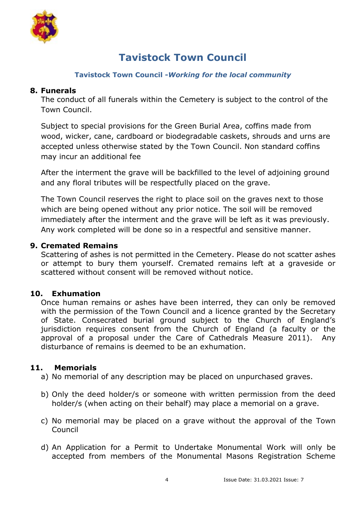

### **Tavistock Town Council -***Working for the local community*

### **8. Funerals**

The conduct of all funerals within the Cemetery is subject to the control of the Town Council.

Subject to special provisions for the Green Burial Area, coffins made from wood, wicker, cane, cardboard or biodegradable caskets, shrouds and urns are accepted unless otherwise stated by the Town Council. Non standard coffins may incur an additional fee

After the interment the grave will be backfilled to the level of adjoining ground and any floral tributes will be respectfully placed on the grave.

The Town Council reserves the right to place soil on the graves next to those which are being opened without any prior notice. The soil will be removed immediately after the interment and the grave will be left as it was previously. Any work completed will be done so in a respectful and sensitive manner.

### **9. Cremated Remains**

Scattering of ashes is not permitted in the Cemetery. Please do not scatter ashes or attempt to bury them yourself. Cremated remains left at a graveside or scattered without consent will be removed without notice.

## **10. Exhumation**

Once human remains or ashes have been interred, they can only be removed with the permission of the Town Council and a licence granted by the Secretary of State. Consecrated burial ground subject to the Church of England's jurisdiction requires consent from the Church of England (a faculty or the approval of a proposal under the Care of Cathedrals Measure 2011). Any disturbance of remains is deemed to be an exhumation.

#### **11. Memorials**

- a) No memorial of any description may be placed on unpurchased graves.
- b) Only the deed holder/s or someone with written permission from the deed holder/s (when acting on their behalf) may place a memorial on a grave.
- c) No memorial may be placed on a grave without the approval of the Town Council
- d) An Application for a Permit to Undertake Monumental Work will only be accepted from members of the Monumental Masons Registration Scheme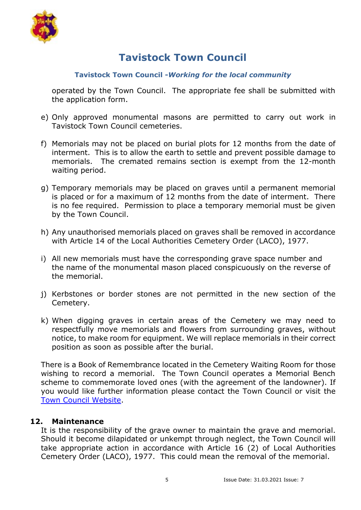

### **Tavistock Town Council -***Working for the local community*

operated by the Town Council. The appropriate fee shall be submitted with the application form.

- e) Only approved monumental masons are permitted to carry out work in Tavistock Town Council cemeteries.
- f) Memorials may not be placed on burial plots for 12 months from the date of interment. This is to allow the earth to settle and prevent possible damage to memorials. The cremated remains section is exempt from the 12-month waiting period.
- g) Temporary memorials may be placed on graves until a permanent memorial is placed or for a maximum of 12 months from the date of interment. There is no fee required. Permission to place a temporary memorial must be given by the Town Council.
- h) Any unauthorised memorials placed on graves shall be removed in accordance with Article 14 of the Local Authorities Cemetery Order (LACO), 1977.
- i) All new memorials must have the corresponding grave space number and the name of the monumental mason placed conspicuously on the reverse of the memorial.
- j) Kerbstones or border stones are not permitted in the new section of the Cemetery.
- k) When digging graves in certain areas of the Cemetery we may need to respectfully move memorials and flowers from surrounding graves, without notice, to make room for equipment. We will replace memorials in their correct position as soon as possible after the burial.

There is a Book of Remembrance located in the Cemetery Waiting Room for those wishing to record a memorial. The Town Council operates a Memorial Bench scheme to commemorate loved ones (with the agreement of the landowner). If you would like further information please contact the Town Council or visit the [Town Council Website.](https://www.tavistock.gov.uk/council-services/works-department/benches)

#### **12. Maintenance**

It is the responsibility of the grave owner to maintain the grave and memorial. Should it become dilapidated or unkempt through neglect, the Town Council will take appropriate action in accordance with Article 16 (2) of Local Authorities Cemetery Order (LACO), 1977. This could mean the removal of the memorial.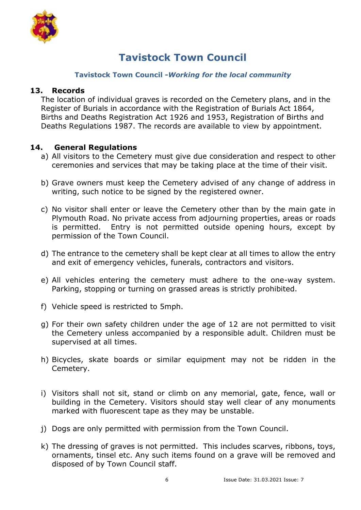

#### **Tavistock Town Council -***Working for the local community*

#### **13. Records**

The location of individual graves is recorded on the Cemetery plans, and in the Register of Burials in accordance with the Registration of Burials Act 1864, Births and Deaths Registration Act 1926 and 1953, Registration of Births and Deaths Regulations 1987. The records are available to view by appointment.

### **14. General Regulations**

- a) All visitors to the Cemetery must give due consideration and respect to other ceremonies and services that may be taking place at the time of their visit.
- b) Grave owners must keep the Cemetery advised of any change of address in writing, such notice to be signed by the registered owner.
- c) No visitor shall enter or leave the Cemetery other than by the main gate in Plymouth Road. No private access from adjourning properties, areas or roads is permitted. Entry is not permitted outside opening hours, except by permission of the Town Council.
- d) The entrance to the cemetery shall be kept clear at all times to allow the entry and exit of emergency vehicles, funerals, contractors and visitors.
- e) All vehicles entering the cemetery must adhere to the one-way system. Parking, stopping or turning on grassed areas is strictly prohibited.
- f) Vehicle speed is restricted to 5mph.
- g) For their own safety children under the age of 12 are not permitted to visit the Cemetery unless accompanied by a responsible adult. Children must be supervised at all times.
- h) Bicycles, skate boards or similar equipment may not be ridden in the Cemetery.
- i) Visitors shall not sit, stand or climb on any memorial, gate, fence, wall or building in the Cemetery. Visitors should stay well clear of any monuments marked with fluorescent tape as they may be unstable.
- j) Dogs are only permitted with permission from the Town Council.
- k) The dressing of graves is not permitted. This includes scarves, ribbons, toys, ornaments, tinsel etc. Any such items found on a grave will be removed and disposed of by Town Council staff.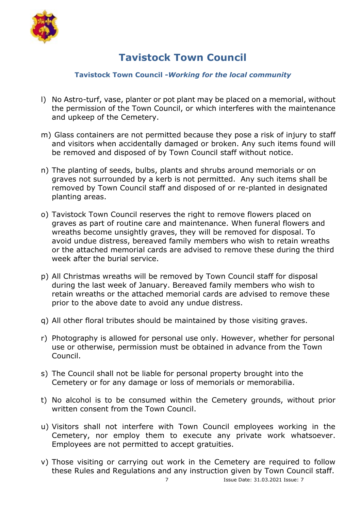

#### **Tavistock Town Council -***Working for the local community*

- l) No Astro-turf, vase, planter or pot plant may be placed on a memorial, without the permission of the Town Council, or which interferes with the maintenance and upkeep of the Cemetery.
- m) Glass containers are not permitted because they pose a risk of injury to staff and visitors when accidentally damaged or broken. Any such items found will be removed and disposed of by Town Council staff without notice.
- n) The planting of seeds, bulbs, plants and shrubs around memorials or on graves not surrounded by a kerb is not permitted. Any such items shall be removed by Town Council staff and disposed of or re-planted in designated planting areas.
- o) Tavistock Town Council reserves the right to remove flowers placed on graves as part of routine care and maintenance. When funeral flowers and wreaths become unsightly graves, they will be removed for disposal. To avoid undue distress, bereaved family members who wish to retain wreaths or the attached memorial cards are advised to remove these during the third week after the burial service.
- p) All Christmas wreaths will be removed by Town Council staff for disposal during the last week of January. Bereaved family members who wish to retain wreaths or the attached memorial cards are advised to remove these prior to the above date to avoid any undue distress.
- q) All other floral tributes should be maintained by those visiting graves.
- r) Photography is allowed for personal use only. However, whether for personal use or otherwise, permission must be obtained in advance from the Town Council.
- s) The Council shall not be liable for personal property brought into the Cemetery or for any damage or loss of memorials or memorabilia.
- t) No alcohol is to be consumed within the Cemetery grounds, without prior written consent from the Town Council.
- u) Visitors shall not interfere with Town Council employees working in the Cemetery, nor employ them to execute any private work whatsoever. Employees are not permitted to accept gratuities.
- v) Those visiting or carrying out work in the Cemetery are required to follow these Rules and Regulations and any instruction given by Town Council staff.